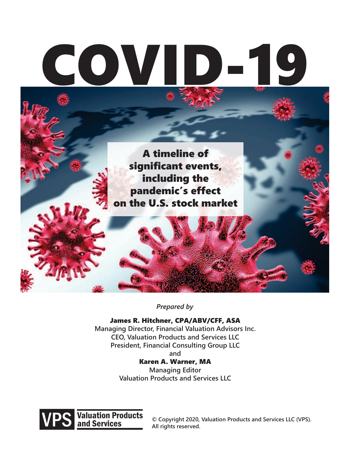# COV

A timeline of significant events, including the pandemic's effect on the U.S. stock market

*Prepared by*

James R. Hitchner, CPA/ABV/CFF, ASA **Managing Director, Financial Valuation Advisors Inc. CEO, Valuation Products and Services LLC President, Financial Consulting Group LLC and**

Karen A. Warner, MA **Managing Editor**

**Valuation Products and Services LLC**



**© Copyright 2020, Valuation Products and Services LLC (VPS). All rights reserved.**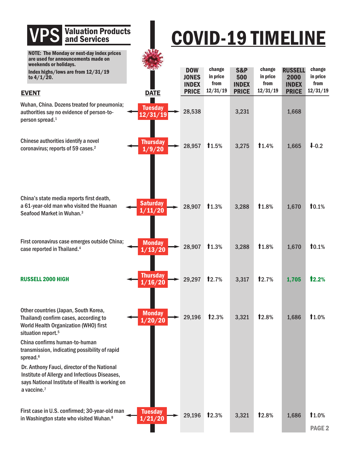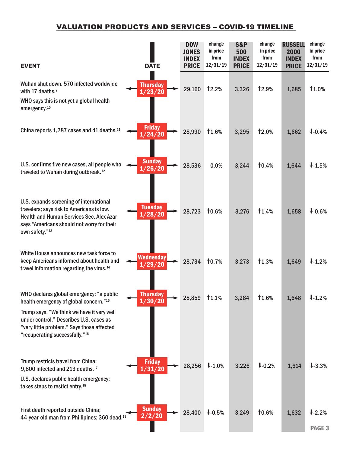| <b>EVENT</b>                                                                                                                                                                                                                                                            | <b>DATE</b>                | <b>DOW</b><br><b>JONES</b><br><b>INDEX</b><br><b>PRICE</b> | change<br>in price<br>from<br>12/31/19 | <b>S&amp;P</b><br>500<br><b>INDEX</b><br><b>PRICE</b> | change<br>in price<br>from<br>12/31/19 | <b>RUSSELL</b><br>2000<br><b>INDEX</b><br><b>PRICE</b> | change<br>in price<br>from<br>12/31/19 |
|-------------------------------------------------------------------------------------------------------------------------------------------------------------------------------------------------------------------------------------------------------------------------|----------------------------|------------------------------------------------------------|----------------------------------------|-------------------------------------------------------|----------------------------------------|--------------------------------------------------------|----------------------------------------|
| Wuhan shut down. 570 infected worldwide<br>with 17 deaths. <sup>9</sup><br>WHO says this is not yet a global health<br>emergency. <sup>10</sup>                                                                                                                         | <b>Thursday</b><br>1/23/20 | 29,160                                                     | 12.2%                                  | 3,326                                                 | 12.9%                                  | 1,685                                                  | 11.0%                                  |
| China reports 1,287 cases and 41 deaths. <sup>11</sup>                                                                                                                                                                                                                  | <b>Friday</b><br>1/24/20   | 28,990                                                     | 11.6%                                  | 3,295                                                 | 12.0%                                  | 1,662                                                  | $1 - 0.4%$                             |
| U.S. confirms five new cases, all people who<br>traveled to Wuhan during outbreak. <sup>12</sup>                                                                                                                                                                        | <b>Sunday</b><br>1/26/20   | 28,536                                                     | 0.0%                                   | 3,244                                                 | 10.4%                                  | 1,644                                                  | 1.5%                                   |
| U.S. expands screening of international<br>travelers; says risk to Americans is low.<br><b>Health and Human Services Sec. Alex Azar</b><br>says "Americans should not worry for their<br>own safety."13                                                                 | <b>Tuesday</b><br>1/28/20  | 28,723                                                     | 10.6%                                  | 3,276                                                 | 1.4%                                   | 1,658                                                  | $1 - 0.6%$                             |
| White House announces new task force to<br>keep Americans informed about health and<br>travel information regarding the virus. <sup>14</sup>                                                                                                                            | Wednesday<br>1/29/20       | 28,734                                                     | 10.7%                                  | 3,273                                                 | 1.3%                                   | 1,649                                                  | $1.2\%$                                |
| WHO declares global emergency; "a public<br>health emergency of global concern."15<br>Trump says, "We think we have it very well<br>under control." Describes U.S. cases as<br>"very little problem." Says those affected<br>"recuperating successfully." <sup>16</sup> | <b>Thursday</b><br>1/30/20 | 28,859                                                     | <b>11.1%</b>                           | 3,284                                                 | <b>T</b> 1.6%                          | 1,648                                                  | $+1.2%$                                |
| Trump restricts travel from China;<br>9,800 infected and 213 deaths. <sup>17</sup><br>U.S. declares public health emergency;<br>takes steps to restict entry. <sup>18</sup>                                                                                             | <b>Friday</b><br>1/31/20   | 28,256                                                     | $1.0\%$                                | 3,226                                                 | $1 - 0.2%$                             | 1,614                                                  | $1 - 3.3%$                             |
| First death reported outside China;<br>44-year-old man from Phillipines; 360 dead. <sup>19</sup>                                                                                                                                                                        | <b>Sunday</b><br>2/2/20    | 28,400                                                     | $1 - 0.5%$                             | 3,249                                                 | 10.6%                                  | 1,632                                                  | $1 - 2.2%$<br><b>PAGE 3</b>            |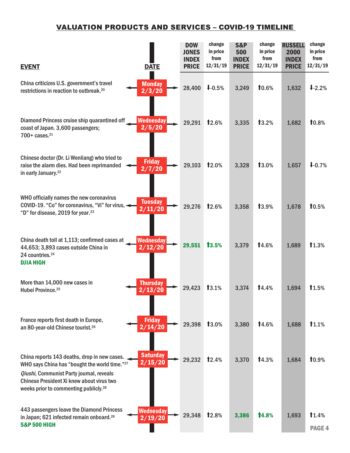| <b>EVENT</b>                                                                                                                                                                                                                                | <b>DATE</b>                 | <b>DOW</b><br><b>JONES</b><br><b>INDEX</b><br><b>PRICE</b> | change<br>in price<br>from<br>12/31/19 | <b>S&amp;P</b><br>500<br><b>INDEX</b><br><b>PRICE</b> | change<br>in price<br>from<br>12/31/19 | <b>RUSSELL</b><br>2000<br><b>INDEX</b><br><b>PRICE</b> | change<br>in price<br>from<br>12/31/19 |
|---------------------------------------------------------------------------------------------------------------------------------------------------------------------------------------------------------------------------------------------|-----------------------------|------------------------------------------------------------|----------------------------------------|-------------------------------------------------------|----------------------------------------|--------------------------------------------------------|----------------------------------------|
| China criticizes U.S. government's travel<br>restrictions in reaction to outbreak. <sup>20</sup>                                                                                                                                            | <b>Monday</b><br>2/3/20     | 28,400                                                     | $1 - 0.5%$                             | 3,249                                                 | <b>10.6%</b>                           | 1,632                                                  | $1 - 2.2%$                             |
| Diamond Princess cruise ship quarantined off<br>coast of Japan. 3,600 passengers;<br>$700+$ cases. $^{21}$                                                                                                                                  | <b>Wednesday</b><br>2/5/20  | 29,291                                                     | 12.6%                                  | 3,335                                                 | 13.2%                                  | 1,682                                                  | 10.8%                                  |
| Chinese doctor (Dr. Li Wenliang) who tried to<br>raise the alarm dies. Had been reprimanded<br>in early January. <sup>22</sup>                                                                                                              | <b>Friday</b><br>2/7/20     | 29,103                                                     | 12.0%                                  | 3,328                                                 | 13.0%                                  | 1,657                                                  | $1 - 0.7%$                             |
| WHO officially names the new coronavirus<br>COVID-19. "Co" for coronavirus, "Vi" for virus,<br>"D" for disease, 2019 for year. <sup>23</sup>                                                                                                | <b>Tuesday</b><br>2/11/20   | 29,276                                                     | 12.6%                                  | 3,358                                                 | 13.9%                                  | 1,678                                                  | 10.5%                                  |
| China death toll at 1,113; confirmed cases at<br>44,653; 3,893 cases outside China in<br>24 countries. <sup>24</sup><br><b>DJIA HIGH</b>                                                                                                    | <b>Wednesday</b><br>2/12/20 | 29,551                                                     | 13.5%                                  | 3,379                                                 | 14.6%                                  | 1,689                                                  | 1.3%                                   |
| More than 14,000 new cases in<br>Hubei Province. <sup>25</sup>                                                                                                                                                                              | <b>Thursday</b><br>2/13/20  | 29,423                                                     | 13.1%                                  | 3,374                                                 | 14.4%                                  | 1,694                                                  | 1.5%                                   |
| France reports first death in Europe,<br>an 80-year-old Chinese tourist. <sup>26</sup>                                                                                                                                                      | <b>Friday</b><br>2/14/20    | 29,398                                                     | 13.0%                                  | 3,380                                                 | 14.6%                                  | 1,688                                                  | 1.1%                                   |
| China reports 143 deaths, drop in new cases.<br>WHO says China has "bought the world time."27<br>Qiushi, Communist Party journal, reveals<br>Chinese President Xi knew about virus two<br>weeks prior to commenting publicly. <sup>28</sup> | <b>Saturday</b><br>2/15/20  | 29,232                                                     | 12.4%                                  | 3,370                                                 | 14.3%                                  | 1,684                                                  | 10.9%                                  |
| 443 passengers leave the Diamond Princess<br>in Japan; 621 infected remain onboard. <sup>29</sup><br><b>S&amp;P 500 HIGH</b>                                                                                                                | Wednesday<br>2/19/20        | 29,348                                                     | 12.8%                                  | 3,386                                                 | <b>14.8%</b>                           | 1,693                                                  | 1.4%<br>PAGE <sub>4</sub>              |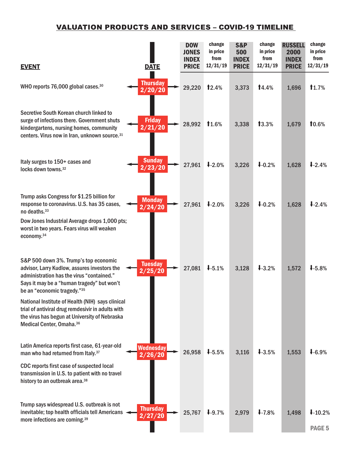| <b>EVENT</b>                                                                                                                                                                                                    | <b>DATE</b>                        | <b>DOW</b><br><b>JONES</b><br><b>INDEX</b><br><b>PRICE</b> | change<br>in price<br>from<br>12/31/19 | <b>S&amp;P</b><br>500<br><b>INDEX</b><br><b>PRICE</b> | change<br>in price<br>from<br>12/31/19 | <b>RUSSELL</b><br>2000<br><b>INDEX</b><br><b>PRICE</b> | change<br>in price<br>from<br>12/31/19 |
|-----------------------------------------------------------------------------------------------------------------------------------------------------------------------------------------------------------------|------------------------------------|------------------------------------------------------------|----------------------------------------|-------------------------------------------------------|----------------------------------------|--------------------------------------------------------|----------------------------------------|
| WHO reports 76,000 global cases. <sup>30</sup>                                                                                                                                                                  | <b>Thursday</b><br>2/20/20         | 29,220                                                     | 12.4%                                  | 3,373                                                 | 14.4%                                  | 1,696                                                  | 1.7%                                   |
| Secretive South Korean church linked to<br>surge of infections there. Government shuts<br>kindergartens, nursing homes, community<br>centers. Virus now in Iran, unknown source. <sup>31</sup>                  | <b>Friday</b><br>2/21/20           | 28,992                                                     | 11.6%                                  | 3,338                                                 | 13.3%                                  | 1,679                                                  | 10.6%                                  |
| Italy surges to 150+ cases and<br>locks down towns. <sup>32</sup>                                                                                                                                               | <b>Sunday</b><br>2/23/20           | 27,961                                                     | $1 - 2.0%$                             | 3,226                                                 | $1 - 0.2%$                             | 1,628                                                  | $1 - 2.4%$                             |
| Trump asks Congress for \$1.25 billion for<br>response to coronavirus. U.S. has 35 cases,<br>no deaths. <sup>33</sup>                                                                                           | <b>Monday</b><br>2/24/20           | 27,961                                                     | $1 - 2.0%$                             | 3,226                                                 | $1 - 0.2%$                             | 1,628                                                  | $1 - 2.4%$                             |
| Dow Jones Industrial Average drops 1,000 pts;<br>worst in two years. Fears virus will weaken<br>economy. <sup>34</sup>                                                                                          |                                    |                                                            |                                        |                                                       |                                        |                                                        |                                        |
| S&P 500 down 3%. Trump's top economic<br>advisor, Larry Kudlow, assures investors the<br>administration has the virus "contained."<br>Says it may be a "human tragedy" but won't<br>be an "economic tragedy."35 | <b>Tuesday</b><br>$\sqrt{2/25/20}$ | 27,081                                                     | $1 - 5.1%$                             | 3,128                                                 | $1 - 3.2%$                             | 1,572                                                  | $1 - 5.8%$                             |
| National Institute of Health (NIH) says clinical<br>trial of antiviral drug remdesivir in adults with<br>the virus has begun at University of Nebraska<br>Medical Center, Omaha. <sup>36</sup>                  |                                    |                                                            |                                        |                                                       |                                        |                                                        |                                        |
| Latin America reports first case, 61-year-old<br>man who had returned from Italy. <sup>37</sup>                                                                                                                 | <b>Wednesday</b><br>2/26/20        | 26,958                                                     | $1 - 5.5%$                             | 3,116                                                 | $1 - 3.5%$                             | 1,553                                                  | $1 - 6.9%$                             |
| CDC reports first case of suspected local<br>transmission in U.S. to patient with no travel<br>history to an outbreak area. <sup>38</sup>                                                                       |                                    |                                                            |                                        |                                                       |                                        |                                                        |                                        |
| Trump says widespread U.S. outbreak is not<br>inevitable; top health officials tell Americans<br>more infections are coming. <sup>39</sup>                                                                      | <b>Thursday</b><br>2/27/20         | 25,767                                                     | $1-9.7%$                               | 2,979                                                 | $1 - 7.8%$                             | 1,498                                                  | $1-10.2%$                              |
|                                                                                                                                                                                                                 |                                    |                                                            |                                        |                                                       |                                        |                                                        | PAGE <sub>5</sub>                      |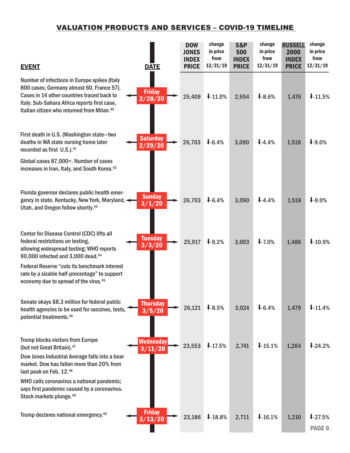| <b>EVENT</b>                                                                                                                                                                                                                                      | <b>DATE</b>                 | <b>DOW</b><br><b>JONES</b><br><b>INDEX</b><br><b>PRICE</b> | change<br>in price<br>from<br>12/31/19 | <b>S&amp;P</b><br>500<br><b>INDEX</b><br><b>PRICE</b> | change<br>in price<br>from<br>12/31/19 | <b>RUSSELL</b><br>2000<br><b>INDEX</b><br><b>PRICE</b> | change<br>in price<br>from<br>12/31/19 |
|---------------------------------------------------------------------------------------------------------------------------------------------------------------------------------------------------------------------------------------------------|-----------------------------|------------------------------------------------------------|----------------------------------------|-------------------------------------------------------|----------------------------------------|--------------------------------------------------------|----------------------------------------|
| Number of infections in Europe spikes (Italy<br>800 cases; Germany almost 60, France 57).<br>Cases in 14 other countries traced back to<br>Italy. Sub-Sahara Africa reports first case,<br>Italian citizen who returned from Milan. <sup>40</sup> | <b>Friday</b><br>2/28/20    | 25,409                                                     | $1-11.0%$                              | 2,954                                                 | $1 - 8.6%$                             | 1,476                                                  | 1.5%                                   |
| First death in U.S. (Washington state-two<br>deaths in WA state nursing home later<br>recorded as first U.S.). <sup>41</sup>                                                                                                                      | <b>Saturday</b><br>2/29/20  | 26,703                                                     | $1 - 6.4%$                             | 3,090                                                 | $1-4.4%$                               | 1,518                                                  | $1 - 9.0\%$                            |
| Global cases 87,000+. Number of cases<br>increases in Iran, Italy, and South Korea. <sup>42</sup>                                                                                                                                                 |                             |                                                            |                                        |                                                       |                                        |                                                        |                                        |
| Florida governor declares public health emer-<br>gency in state. Kentucky, New York, Maryland,<br>Utah, and Oregon follow shortly. <sup>43</sup>                                                                                                  | <b>Sunday</b><br>3/1/20     | 26,703                                                     | $1 - 6.4%$                             | 3,090                                                 | $1-4.4%$                               | 1,518                                                  | $1 - 9.0\%$                            |
| Center for Disease Control (CDC) lifts all<br>federal restrictions on testing,<br>allowing widespread testing; WHO reports<br>90,000 infected and 3,000 dead. <sup>44</sup>                                                                       | <b>Tuesday</b><br>3/3/20    | 25,917                                                     | $1 - 9.2%$                             | 3,003                                                 | $1 - 7.0%$                             | 1,486                                                  | $1 - 10.9%$                            |
| <b>Federal Reserve "cuts its benchmark interest</b><br>rate by a sizable half-precentage" to support<br>economy due to spread of the virus. <sup>45</sup>                                                                                         |                             |                                                            |                                        |                                                       |                                        |                                                        |                                        |
| Senate okays \$8.3 million for federal public<br>health agencies to be used for vaccines, tests,<br>potential treatments. <sup>46</sup>                                                                                                           | <b>Thursday</b><br>3/5/20   | 26,121                                                     | $1-8.5%$                               | 3,024                                                 | $1 - 6.4%$                             | 1,479                                                  | 1.4%                                   |
| Trump blocks visitors from Europe<br>(but not Great Britain). 47                                                                                                                                                                                  | <b>Wednesday</b><br>3/11/20 | 23,553                                                     | $1.5\%$                                | 2,741                                                 | $1-15.1%$                              | 1,264                                                  | $1 - 24.2%$                            |
| Dow Jones Industrial Average falls into a bear<br>market. Dow has fallen more than 20% from<br>last peak on Feb. 12.48                                                                                                                            |                             |                                                            |                                        |                                                       |                                        |                                                        |                                        |
| WHO calls coronavirus a national pandemic;<br>says first pandemic caused by a coronavirus.<br>Stock markets plunge. <sup>49</sup>                                                                                                                 |                             |                                                            |                                        |                                                       |                                        |                                                        |                                        |
| Trump declares national emergency. <sup>50</sup>                                                                                                                                                                                                  | <b>Friday</b><br>3/13/20    | 23,186                                                     | $1-18.8%$                              | 2,711                                                 | $1-16.1%$                              | 1,210                                                  | $1 - 27.5%$<br>PAGE 6                  |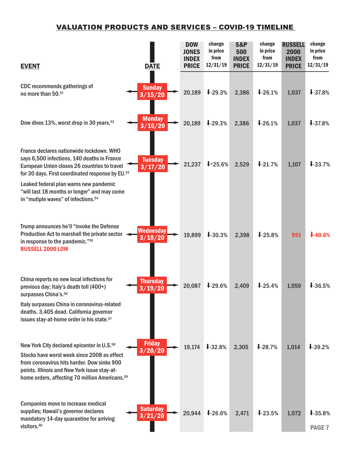| <b>EVENT</b>                                                                                                                                                                                                                                                       | <b>DATE</b>                 | <b>DOW</b><br><b>JONES</b><br><b>INDEX</b><br><b>PRICE</b> | change<br>in price<br>from<br>12/31/19 | <b>S&amp;P</b><br>500<br><b>INDEX</b><br><b>PRICE</b> | change<br>in price<br>from<br>12/31/19 | <b>RUSSELL</b><br>2000<br><b>INDEX</b><br><b>PRICE</b> | change<br>in price<br>from<br>12/31/19 |
|--------------------------------------------------------------------------------------------------------------------------------------------------------------------------------------------------------------------------------------------------------------------|-----------------------------|------------------------------------------------------------|----------------------------------------|-------------------------------------------------------|----------------------------------------|--------------------------------------------------------|----------------------------------------|
| CDC recommends gatherings of<br>no more than 50.51                                                                                                                                                                                                                 | <b>Sunday</b><br>3/15/20    | 20,189                                                     | $1-29.3%$                              | 2,386                                                 | $1-26.1%$                              | 1,037                                                  | $1 - 37.8%$                            |
| Dow dives 13%, worst drop in 30 years. <sup>52</sup>                                                                                                                                                                                                               | <b>Monday</b><br>3/16/20    | 20,189                                                     | $1-29.3%$                              | 2,386                                                 | $1-26.1%$                              | 1,037                                                  | $1 - 37.8%$                            |
| France declares nationwide lockdown. WHO<br>says 6,500 infections, 140 deaths in France<br>European Union closes 26 countries to travel<br>for 30 days. First coordinated response by EU.53                                                                        | <b>Tuesday</b><br>3/17/20   | 21,237                                                     | $1 - 25.6%$                            | 2,529                                                 | $1 - 21.7%$                            | 1,107                                                  | $1 - 33.7%$                            |
| Leaked federal plan warns new pandemic<br>"will last 18 months or longer" and may come<br>in "mutiple waves" of infections. <sup>54</sup>                                                                                                                          |                             |                                                            |                                        |                                                       |                                        |                                                        |                                        |
| Trump announces he'll "invoke the Defense<br>Production Act to marshall the private sector<br>in response to the pandemic."55<br><b>RUSSELL 2000 LOW</b>                                                                                                           | <b>Wednesday</b><br>3/18/20 | 19,899                                                     | $1 - 30.3%$                            | 2,398                                                 | $1-25.8%$                              | 991                                                    | $4-40.6%$                              |
| China reports no new local infections for<br>previous day; Italy's death toll (400+)<br>surpasses China's. <sup>56</sup>                                                                                                                                           | <b>Thursday</b><br>3/19/20  | 20,087                                                     | $1-29.6%$                              | 2,409                                                 | $1-25.4%$                              | 1,059                                                  | $1-36.5%$                              |
| Italy surpasses China in coronavirus-related<br>deaths. 3,405 dead. California governor<br>issues stay-at-home order in his state. <sup>57</sup>                                                                                                                   |                             |                                                            |                                        |                                                       |                                        |                                                        |                                        |
| New York City declared epicenter in U.S. <sup>58</sup><br>Stocks have worst week since 2008 as effect<br>from coronavirus hits harder. Dow sinks 900<br>points. Illinois and New York issue stay-at-<br>home orders, affecting 70 million Americans. <sup>59</sup> | <b>Friday</b><br>3/20/20    | 19,174                                                     | $1 - 32.8%$                            | 2,305                                                 | $1-28.7%$                              | 1,014                                                  | $1 - 39.2%$                            |
| Companies move to increase medical<br>supplies; Hawaii's governor declares<br>mandatory 14-day quarantine for arriving<br>visitors. <sup>60</sup>                                                                                                                  | <b>Saturday</b><br>3/21/20  | 20,944                                                     | $1-26.6%$                              | 2,471                                                 | $1-23.5%$                              | 1,072                                                  | $1 - 35.8%$<br><b>PAGE 7</b>           |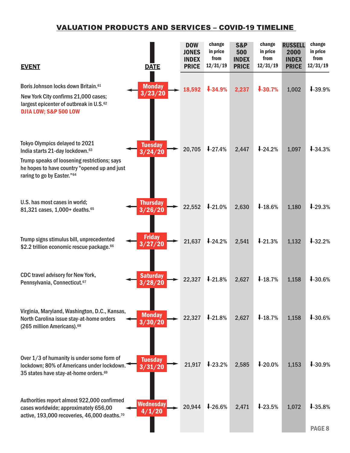| <b>EVENT</b>                                                                                                                                                                                                | <b>DATE</b>                | <b>DOW</b><br><b>JONES</b><br><b>INDEX</b><br><b>PRICE</b> | change<br>in price<br>from<br>12/31/19 | <b>S&amp;P</b><br>500<br><b>INDEX</b><br><b>PRICE</b> | change<br>in price<br>from<br>12/31/19 | <b>RUSSELL</b><br>2000<br><b>INDEX</b><br><b>PRICE</b> | change<br>in price<br>from<br>12/31/19 |
|-------------------------------------------------------------------------------------------------------------------------------------------------------------------------------------------------------------|----------------------------|------------------------------------------------------------|----------------------------------------|-------------------------------------------------------|----------------------------------------|--------------------------------------------------------|----------------------------------------|
| Boris Johnson locks down Britain. <sup>61</sup><br>New York City confirms 21,000 cases;<br>largest epicenter of outbreak in U.S. <sup>62</sup><br>DJIA LOW; S&P 500 LOW                                     | <b>Monday</b><br>3/23/20   | 18,592                                                     | $1 - 34.9%$                            | 2,237                                                 | $1 - 30.7%$                            | 1,002                                                  | $1-39.9%$                              |
| Tokyo Olympics delayed to 2021<br>India starts 21-day lockdown. <sup>63</sup><br>Trump speaks of loosening restrictions; says<br>he hopes to have country "opened up and just<br>raring to go by Easter."64 | <b>Tuesday</b><br>3/24/20  | 20,705                                                     | $1 - 27.4%$                            | 2,447                                                 | $1 - 24.2%$                            | 1,097                                                  | $1-34.3%$                              |
| U.S. has most cases in world;<br>81,321 cases, 1,000+ deaths. 65                                                                                                                                            | <b>Thursday</b><br>3/26/20 | 22,552                                                     | $1 - 21.0%$                            | 2,630                                                 | $1-18.6%$                              | 1,180                                                  | $1 - 29.3%$                            |
| Trump signs stimulus bill, unprecedented<br>\$2.2 trillion economic rescue package. <sup>66</sup>                                                                                                           | <b>Friday</b><br>3/27/20   | 21,637                                                     | $1 - 24.2%$                            | 2,541                                                 | $1 - 21.3%$                            | 1,132                                                  | $1 - 32.2%$                            |
| CDC travel advisory for New York,<br>Pennsylvania, Connecticut. <sup>67</sup>                                                                                                                               | <b>Saturday</b><br>3/28/20 | 22,327                                                     | $1-21.8%$                              | 2,627                                                 | 18.7%                                  | 1,158                                                  | $1 - 30.6%$                            |
| Virginia, Maryland, Washington, D.C., Kansas,<br>North Carolina issue stay-at-home orders<br>(265 million Americans). <sup>68</sup>                                                                         | <b>Monday</b><br>3/30/20   | 22,327                                                     | $1-21.8%$                              | 2,627                                                 | $1-18.7%$                              | 1,158                                                  | $1 - 30.6%$                            |
| Over 1/3 of humanity is under some form of<br>lockdown; 80% of Americans under lockdown.<br>35 states have stay-at-home orders. <sup>69</sup>                                                               | <b>Tuesday</b><br>3/31/20  | 21,917                                                     | $1-23.2%$                              | 2,585                                                 | $1 - 20.0%$                            | 1,153                                                  | $1 - 30.9%$                            |
| Authorities report almost 922,000 confirmed<br>cases worldwide; approximately 656,00<br>active, 193,000 recoveries, 46,000 deaths. <sup>70</sup>                                                            | <b>Wednesday</b><br>4/1/20 | 20,944                                                     | $1-26.6%$                              | 2,471                                                 | $1 - 23.5%$                            | 1,072                                                  | $1-35.8%$<br>PAGE <sub>8</sub>         |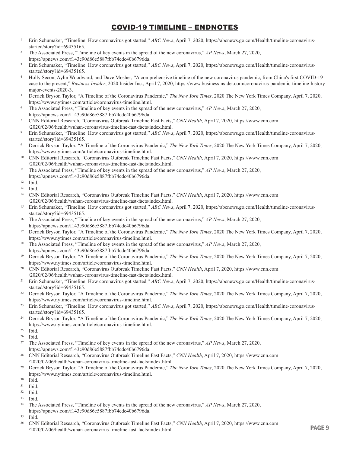#### COVID-19 TIMELINE – ENDNOTES

- <sup>1</sup> Erin Schumaker, "Timeline: How coronavirus got started," *ABC News*, April 7, 2020, https://abcnews.go.com/Health/timeline-coronavirusstarted/story?id=69435165.
- <sup>2</sup> The Associated Press, "Timeline of key events in the spread of the new coronavirus," *AP News*, March 27, 2020, https://apnews.com/f143c90d86e5887fbb74cdc40b6796da.
- <sup>3</sup> Erin Schumaker, "Timeline: How coronavirus got started," *ABC News*, April 7, 2020, https://abcnews.go.com/Health/timeline-coronavirusstarted/story?id=69435165.
- <sup>4</sup> Holly Secon, Aylin Woodward, and Dave Mosher, "A comprehensive timeline of the new coronavirus pandemic, from China's first COVID-19 case to the present," *Business Insider*, 2020 Insider Inc., April 7, 2020, https://www.businessinsider.com/coronavirus-pandemic-timeline-historymajor-events-2020-3.
- <sup>5</sup> Derrick Bryson Taylor, "A Timeline of the Coronavirus Pandemic," *The New York Times*, 2020 The New York Times Company, April 7, 2020, https://www.nytimes.com/article/coronavirus-timeline.html.
- 6 The Associated Press, "Timeline of key events in the spread of the new coronavirus," *AP News*, March 27, 2020, https://apnews.com/f143c90d86e5887fbb74cdc40b6796da.
- 7 CNN Editorial Research, "Coronavirus Outbreak Timeline Fast Facts," *CNN Health*, April 7, 2020, https://www.cnn.com /2020/02/06/health/wuhan-coronavirus-timeline-fast-facts/index.html.
- <sup>8</sup> Erin Schumaker, "Timeline: How coronavirus got started," *ABC News*, April 7, 2020, https://abcnews.go.com/Health/timeline-coronavirusstarted/story?id=69435165.
- <sup>9</sup> Derrick Bryson Taylor, "A Timeline of the Coronavirus Pandemic," *The New York Times*, 2020 The New York Times Company, April 7, 2020, https://www.nytimes.com/article/coronavirus-timeline.html.
- <sup>10</sup> CNN Editorial Research, "Coronavirus Outbreak Timeline Fast Facts," *CNN Health*, April 7, 2020, https://www.cnn.com /2020/02/06/health/wuhan-coronavirus-timeline-fast-facts/index.html.
- 11 The Associated Press, "Timeline of key events in the spread of the new coronavirus," *AP News*, March 27, 2020, https://apnews.com/f143c90d86e5887fbb74cdc40b6796da.
- <sup>12</sup> Ibid.

- <sup>14</sup> CNN Editorial Research, "Coronavirus Outbreak Timeline Fast Facts," *CNN Health*, April 7, 2020, https://www.cnn.com /2020/02/06/health/wuhan-coronavirus-timeline-fast-facts/index.html.
- <sup>15</sup> Erin Schumaker, "Timeline: How coronavirus got started," *ABC News*, April 7, 2020, https://abcnews.go.com/Health/timeline-coronavirusstarted/story?id=69435165.
- 16 The Associated Press, "Timeline of key events in the spread of the new coronavirus," *AP News*, March 27, 2020, https://apnews.com/f143c90d86e5887fbb74cdc40b6796da.
- <sup>17</sup> Derrick Bryson Taylor, "A Timeline of the Coronavirus Pandemic," *The New York Times*, 2020 The New York Times Company, April 7, 2020, https://www.nytimes.com/article/coronavirus-timeline.html.
- <sup>18</sup> The Associated Press, "Timeline of key events in the spread of the new coronavirus," *AP News*, March 27, 2020, https://apnews.com/f143c90d86e5887fbb74cdc40b6796da.
- <sup>19</sup> Derrick Bryson Taylor, "A Timeline of the Coronavirus Pandemic," *The New York Times*, 2020 The New York Times Company, April 7, 2020, https://www.nytimes.com/article/coronavirus-timeline.html.
- <sup>20</sup> CNN Editorial Research, "Coronavirus Outbreak Timeline Fast Facts," *CNN Health*, April 7, 2020, https://www.cnn.com /2020/02/06/health/wuhan-coronavirus-timeline-fast-facts/index.html.
- <sup>21</sup> Erin Schumaker, "Timeline: How coronavirus got started," *ABC News*, April 7, 2020, https://abcnews.go.com/Health/timeline-coronavirusstarted/story?id=69435165.
- <sup>22</sup> Derrick Bryson Taylor, "A Timeline of the Coronavirus Pandemic," *The New York Times*, 2020 The New York Times Company, April 7, 2020, https://www.nytimes.com/article/coronavirus-timeline.html.
- <sup>23</sup> Erin Schumaker, "Timeline: How coronavirus got started," *ABC News*, April 7, 2020, https://abcnews.go.com/Health/timeline-coronavirusstarted/story?id=69435165.
- <sup>24</sup> Derrick Bryson Taylor, "A Timeline of the Coronavirus Pandemic," *The New York Times*, 2020 The New York Times Company, April 7, 2020, https://www.nytimes.com/article/coronavirus-timeline.html.
- <sup>25</sup> Ibid.
- <sup>26</sup> Ibid.
- 27 The Associated Press, "Timeline of key events in the spread of the new coronavirus," *AP News*, March 27, 2020, https://apnews.com/f143c90d86e5887fbb74cdc40b6796da.
- <sup>28</sup> CNN Editorial Research, "Coronavirus Outbreak Timeline Fast Facts," *CNN Health*, April 7, 2020, https://www.cnn.com /2020/02/06/health/wuhan-coronavirus-timeline-fast-facts/index.html.
- <sup>29</sup> Derrick Bryson Taylor, "A Timeline of the Coronavirus Pandemic," *The New York Times*, 2020 The New York Times Company, April 7, 2020, https://www.nytimes.com/article/coronavirus-timeline.html.
- $30$  Ibid.<br> $31$  Ibid.
- Ibid.
- <sup>32</sup> Ibid.
- <sup>33</sup> Ibid.
- <sup>34</sup> The Associated Press, "Timeline of key events in the spread of the new coronavirus," *AP News*, March 27, 2020, https://apnews.com/f143c90d86e5887fbb74cdc40b6796da.
- <sup>35</sup> Ibid.
- <sup>36</sup> CNN Editorial Research, "Coronavirus Outbreak Timeline Fast Facts," *CNN Health*, April 7, 2020, https://www.cnn.com /2020/02/06/health/wuhan-coronavirus-timeline-fast-facts/index.html. PAGE 9

<sup>13</sup> Ibid.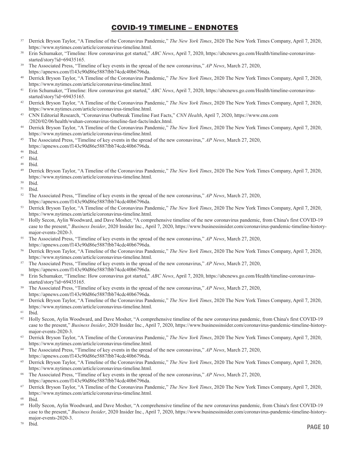#### COVID-19 TIMELINE – ENDNOTES

- <sup>37</sup> Derrick Bryson Taylor, "A Timeline of the Coronavirus Pandemic," *The New York Times*, 2020 The New York Times Company, April 7, 2020, https://www.nytimes.com/article/coronavirus-timeline.html.
- <sup>38</sup> Erin Schumaker, "Timeline: How coronavirus got started," *ABC News*, April 7, 2020, https://abcnews.go.com/Health/timeline-coronavirusstarted/story?id=69435165.
- <sup>39</sup> The Associated Press, "Timeline of key events in the spread of the new coronavirus," *AP News*, March 27, 2020, https://apnews.com/f143c90d86e5887fbb74cdc40b6796da.
- <sup>40</sup> Derrick Bryson Taylor, "A Timeline of the Coronavirus Pandemic," *The New York Times*, 2020 The New York Times Company, April 7, 2020, https://www.nytimes.com/article/coronavirus-timeline.html.
- <sup>41</sup> Erin Schumaker, "Timeline: How coronavirus got started," *ABC News*, April 7, 2020, https://abcnews.go.com/Health/timeline-coronavirusstarted/story?id=69435165.
- <sup>42</sup> Derrick Bryson Taylor, "A Timeline of the Coronavirus Pandemic," *The New York Times*, 2020 The New York Times Company, April 7, 2020, https://www.nytimes.com/article/coronavirus-timeline.html.
- <sup>43</sup> CNN Editorial Research, "Coronavirus Outbreak Timeline Fast Facts," *CNN Health*, April 7, 2020, https://www.cnn.com /2020/02/06/health/wuhan-coronavirus-timeline-fast-facts/index.html.
- <sup>44</sup> Derrick Bryson Taylor, "A Timeline of the Coronavirus Pandemic," *The New York Times*, 2020 The New York Times Company, April 7, 2020, https://www.nytimes.com/article/coronavirus-timeline.html.
- <sup>45</sup> The Associated Press, "Timeline of key events in the spread of the new coronavirus," *AP News*, March 27, 2020, https://apnews.com/f143c90d86e5887fbb74cdc40b6796da.
- <sup>46</sup> Ibid.
- <sup>47</sup> Ibid.
- <sup>48</sup> Ibid.
- <sup>49</sup> Derrick Bryson Taylor, "A Timeline of the Coronavirus Pandemic," *The New York Times*, 2020 The New York Times Company, April 7, 2020, https://www.nytimes.com/article/coronavirus-timeline.html.
- <sup>50</sup> Ibid.
- $51$  Ibid.<br> $52$  The
- <sup>52</sup> The Associated Press, "Timeline of key events in the spread of the new coronavirus," *AP News*, March 27, 2020, https://apnews.com/f143c90d86e5887fbb74cdc40b6796da.
- <sup>53</sup> Derrick Bryson Taylor, "A Timeline of the Coronavirus Pandemic," *The New York Times*, 2020 The New York Times Company, April 7, 2020, https://www.nytimes.com/article/coronavirus-timeline.html.
- <sup>54</sup> Holly Secon, Aylin Woodward, and Dave Mosher, "A comprehensive timeline of the new coronavirus pandemic, from China's first COVID-19 case to the present," *Business Insider*, 2020 Insider Inc., April 7, 2020, https://www.businessinsider.com/coronavirus-pandemic-timeline-historymajor-events-2020-3.
- <sup>55</sup> The Associated Press, "Timeline of key events in the spread of the new coronavirus," *AP News*, March 27, 2020, https://apnews.com/f143c90d86e5887fbb74cdc40b6796da.
- <sup>56</sup> Derrick Bryson Taylor, "A Timeline of the Coronavirus Pandemic," *The New York Times*, 2020 The New York Times Company, April 7, 2020, https://www.nytimes.com/article/coronavirus-timeline.html.
- <sup>57</sup> The Associated Press, "Timeline of key events in the spread of the new coronavirus," *AP News*, March 27, 2020, https://apnews.com/f143c90d86e5887fbb74cdc40b6796da.
- <sup>58</sup> Erin Schumaker, "Timeline: How coronavirus got started," *ABC News*, April 7, 2020, https://abcnews.go.com/Health/timeline-coronavirusstarted/story?id=69435165.
- <sup>59</sup> The Associated Press, "Timeline of key events in the spread of the new coronavirus," *AP News*, March 27, 2020, https://apnews.com/f143c90d86e5887fbb74cdc40b6796da.
- <sup>60</sup> Derrick Bryson Taylor, "A Timeline of the Coronavirus Pandemic," *The New York Times*, 2020 The New York Times Company, April 7, 2020, https://www.nytimes.com/article/coronavirus-timeline.html.
- <sup>61</sup> Ibid.
- <sup>62</sup> Holly Secon, Aylin Woodward, and Dave Mosher, "A comprehensive timeline of the new coronavirus pandemic, from China's first COVID-19 case to the present," *Business Insider*, 2020 Insider Inc., April 7, 2020, https://www.businessinsider.com/coronavirus-pandemic-timeline-historymajor-events-2020-3.
- <sup>63</sup> Derrick Bryson Taylor, "A Timeline of the Coronavirus Pandemic," *The New York Times*, 2020 The New York Times Company, April 7, 2020, https://www.nytimes.com/article/coronavirus-timeline.html.
- <sup>64</sup> The Associated Press, "Timeline of key events in the spread of the new coronavirus," *AP News*, March 27, 2020, https://apnews.com/f143c90d86e5887fbb74cdc40b6796da.
- <sup>65</sup> Derrick Bryson Taylor, "A Timeline of the Coronavirus Pandemic," *The New York Times*, 2020 The New York Times Company, April 7, 2020, https://www.nytimes.com/article/coronavirus-timeline.html.
- <sup>66</sup> The Associated Press, "Timeline of key events in the spread of the new coronavirus," *AP News*, March 27, 2020, https://apnews.com/f143c90d86e5887fbb74cdc40b6796da.
- <sup>67</sup> Derrick Bryson Taylor, "A Timeline of the Coronavirus Pandemic," *The New York Times*, 2020 The New York Times Company, April 7, 2020, https://www.nytimes.com/article/coronavirus-timeline.html.
- <sup>68</sup> Ibid.
- <sup>69</sup> Holly Secon, Aylin Woodward, and Dave Mosher, "A comprehensive timeline of the new coronavirus pandemic, from China's first COVID-19 case to the present," *Business Insider*, 2020 Insider Inc., April 7, 2020, https://www.businessinsider.com/coronavirus-pandemic-timeline-historymajor-events-2020-3.

<sup>70</sup> Ibid.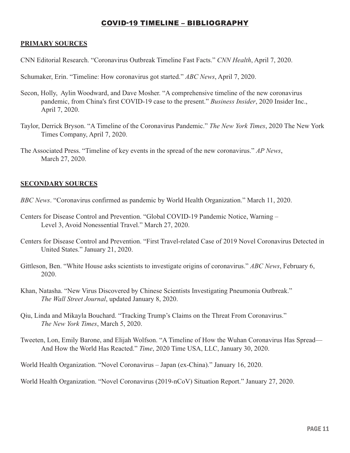#### COVID-19 TIMELINE – BIBLIOGRAPHY

#### **PRIMARY SOURCES**

CNN Editorial Research. "Coronavirus Outbreak Timeline Fast Facts." *CNN Health*, April 7, 2020.

Schumaker, Erin. "Timeline: How coronavirus got started." *ABC News*, April 7, 2020.

- Secon, Holly, Aylin Woodward, and Dave Mosher. "A comprehensive timeline of the new coronavirus pandemic, from China's first COVID-19 case to the present." *Business Insider*, 2020 Insider Inc., April 7, 2020.
- Taylor, Derrick Bryson. "A Timeline of the Coronavirus Pandemic." *The New York Times*, 2020 The New York Times Company, April 7, 2020.
- The Associated Press. "Timeline of key events in the spread of the new coronavirus." *AP News*, March 27, 2020.

#### **SECONDARY SOURCES**

- *BBC News*. "Coronavirus confirmed as pandemic by World Health Organization." March 11, 2020.
- Centers for Disease Control and Prevention. "Global COVID-19 Pandemic Notice, Warning Level 3, Avoid Nonessential Travel." March 27, 2020.
- Centers for Disease Control and Prevention. "First Travel-related Case of 2019 Novel Coronavirus Detected in United States." January 21, 2020.
- Gittleson, Ben. "White House asks scientists to investigate origins of coronavirus." *ABC News*, February 6, 2020.
- Khan, Natasha. "New Virus Discovered by Chinese Scientists Investigating Pneumonia Outbreak." *The Wall Street Journal*, updated January 8, 2020.
- Qiu, Linda and Mikayla Bouchard. "Tracking Trump's Claims on the Threat From Coronavirus." *The New York Times*, March 5, 2020.
- Tweeten, Lon, Emily Barone, and Elijah Wolfson. "A Timeline of How the Wuhan Coronavirus Has Spread— And How the World Has Reacted." *Time*, 2020 Time USA, LLC, January 30, 2020.
- World Health Organization. "Novel Coronavirus Japan (ex-China)." January 16, 2020.

World Health Organization. "Novel Coronavirus (2019-nCoV) Situation Report." January 27, 2020.